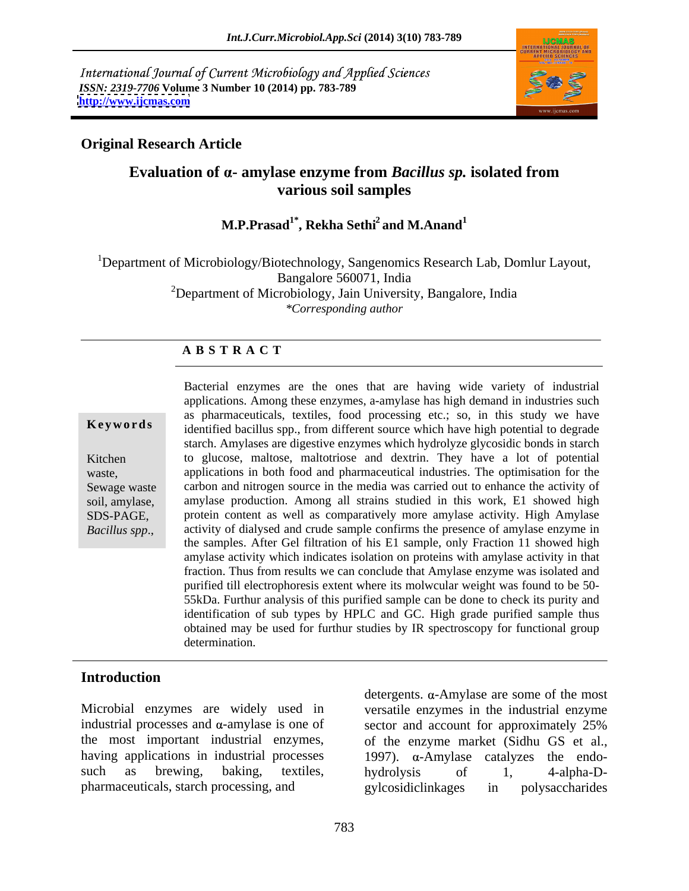International Journal of Current Microbiology and Applied Sciences *ISSN: 2319-7706* **Volume 3 Number 10 (2014) pp. 783-789 <http://www.ijcmas.com>**



### **Original Research Article**

## **Evaluation of - amylase enzyme from** *Bacillus sp.* **isolated from various soil samples**

# **M.P.Prasad1\*, Rekha Sethi2 and M.Anand<sup>1</sup>**

<sup>1</sup>Department of Microbiology/Biotechnology, Sangenomics Research Lab, Domlur Layout, Bangalore 560071, India <sup>2</sup>Department of Microbiology, Jain University, Bangalore, India *\*Corresponding author* 

### **A B S T R A C T**

**Keywords** identified bacillus spp., from different source which have high potential to degrade Kitchen to glucose, maltose, maltotriose and dextrin. They have a lot of potential waste, applications in both food and pharmaceutical industries. The optimisation for the Sewage waste carbon and nitrogen source in the media was carried out to enhance the activity of soil, amylase, amylase production. Among all strains studied in this work, E1 showed high SDS-PAGE, protein content as well as comparatively more amylase activity. High Amylase **Bacterial enzymes are the ones that are having wide variety of industrial applications. Among these enzymes, a-amylase has high demand in industries such as pharmaceuticals, textiles, food processing etc.; so, in this stu** applications. Among these enzymes, a-amylase has high demand in industries such as pharmaceuticals, textiles, food processing etc.; so, in this study we have starch. Amylases are digestive enzymes which hydrolyze glycosidic bonds in starch activity of dialysed and crude sample confirms the presence of amylase enzyme in the samples. After Gel filtration of his E1 sample, only Fraction 11 showed high amylase activity which indicates isolation on proteins with amylase activity in that fraction. Thus from results we can conclude that Amylase enzyme was isolated and purified till electrophoresis extent where its molwcular weight was found to be 50- 55kDa. Furthur analysis of this purified sample can be done to check its purity and identification of sub types by HPLC and GC. High grade purified sample thus obtained may be used for furthur studies by IR spectroscopy for functional group determination.

### **Introduction**

Microbial enzymes are widely used in versatile enzymes in the industrial enzyme industrial processes and  $\alpha$ -amylase is one of sector and account for approximately 25% the most important industrial enzymes, having applications in industrial processes  $1997$ ).  $\alpha$ -Amylase catalyzes the endosuch as brewing, baking, textiles, hydrolysis of 1, 4-alpha-Dpharmaceuticals, starch processing, and

detergents.  $\alpha$ -Amylase are some of the most sector and account for approximately 25% of the enzyme market (Sidhu GS et al., hydrolysis of 1, 4-alpha-D gylcosidiclinkages in polysaccharides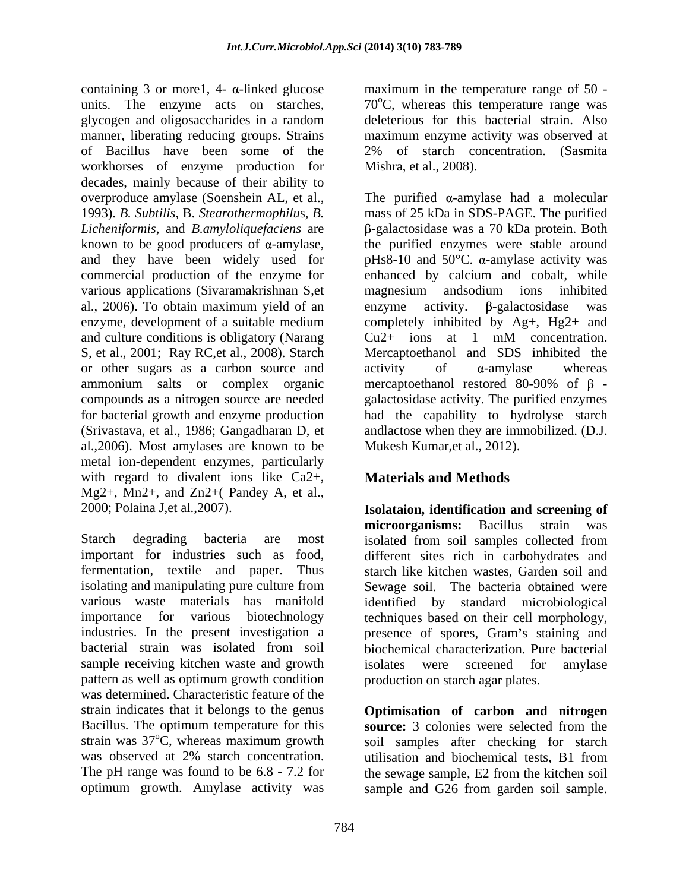containing 3 or more1, 4-  $\alpha$ -linked glucose maximum in the temperature range of 50 units. The enzyme acts on starches,  $70^{\circ}$ C, whereas this temperature range was glycogen and oligosaccharides in a random manner, liberating reducing groups. Strains maximum enzyme activity was observed at of Bacillus have been some of the 2% of starch concentration. (Sasmita workhorses of enzyme production for decades, mainly because of their ability to 1993). *B. Subtilis*, B. *Stearothermophilu*s*, B.* various applications (Sivaramakrishnan S, et magnesium and sodium ions inhibited al., 2006). To obtain maximum yield of an enzyme activity. B-galactosidase was and culture conditions is obligatory (Narang  $Cu2+$  ions at 1 mM concentration. or other sugars as a carbon source and activity of  $\alpha$ -amylase whereas (Srivastava, et al., 1986; Gangadharan D, et al.,2006). Most amylases are known to be metal ion-dependent enzymes, particularly with regard to divalent ions like Ca2+, Mg2+, Mn2+, and Zn2+( Pandey A, et al.,

Starch degrading bacteria are most isolated from soil samples collected from important for industries such as food, different sites rich in carbohydrates and fermentation, textile and paper. Thus starch like kitchen wastes, Garden soil and isolating and manipulating pure culture from Sewage soil. The bacteria obtained were various waste materials has manifold identified by standard microbiological importance for various biotechnology techniques based on their cell morphology, industries. In the present investigation a presence of spores, Gram's staining and bacterial strain was isolated from soil biochemical characterization. Pure bacterial sample receiving kitchen waste and growth isolates were screened for amylase pattern as well as optimum growth condition was determined. Characteristic feature of the strain indicates that it belongs to the genus **Optimisation of carbon and nitrogen** Bacillus. The optimum temperature for this **source:** 3 colonies were selected from the strain was  $37^{\circ}$ C, whereas maximum growth soil samples after checking for starch was observed at 2% starch concentration. Unilisation and biochemical tests, B1 from The pH range was found to be 6.8 - 7.2 for the sewage sample, E2 from the kitchen soil

deleterious for this bacterial strain. Also Mishra, et al., 2008).

overproduce amylase (Soenshein AL, et al., The purified  $\alpha$ -amylase had a molecular *Licheniformis*, and *B.amyloliquefaciens* are -galactosidase was a 70 kDa protein. Both known to be good producers of  $\alpha$ -amylase, the purified enzymes were stable around and they have been widely used for  $pHs8-10$  and  $50^{\circ}C$ .  $\alpha$ -amylase activity was commercial production of the enzyme for enhanced by calcium and cobalt, while enzyme, development of a suitable medium completely inhibited by Ag+, Hg2+ and S, et al., 2001; Ray RC,et al., 2008). Starch Mercaptoethanol and SDS inhibited the ammonium salts or complex organic mercaptoethanol restored 80-90% of  $\beta$  compounds as a nitrogen source are needed galactosidase activity. The purified enzymes for bacterial growth and enzyme production had the capability to hydrolyse starch mass of 25 kDa in SDS-PAGE. The purified magnesium andsodium ions inhibited enzyme activity.  $\beta$ -galactosidase  $Cu2+$  ions at 1 mM concentration.  $\arcsin(\alpha)$  activity of  $\alpha$ -amylase whereas andlactose when they are immobilized. (D.J. Mukesh Kumar,et al., 2012).

# **Materials and Methods**

2000; Polaina J,et al.,2007). **Isolataion, identification and screening of microorganisms:** Bacillus strain was isolated from soil samples collected from isolates were screened for amylase production on starch agar plates.

optimum growth. Amylase activity was sample and G26 from garden soil sample.utilisation and biochemical tests, B1 from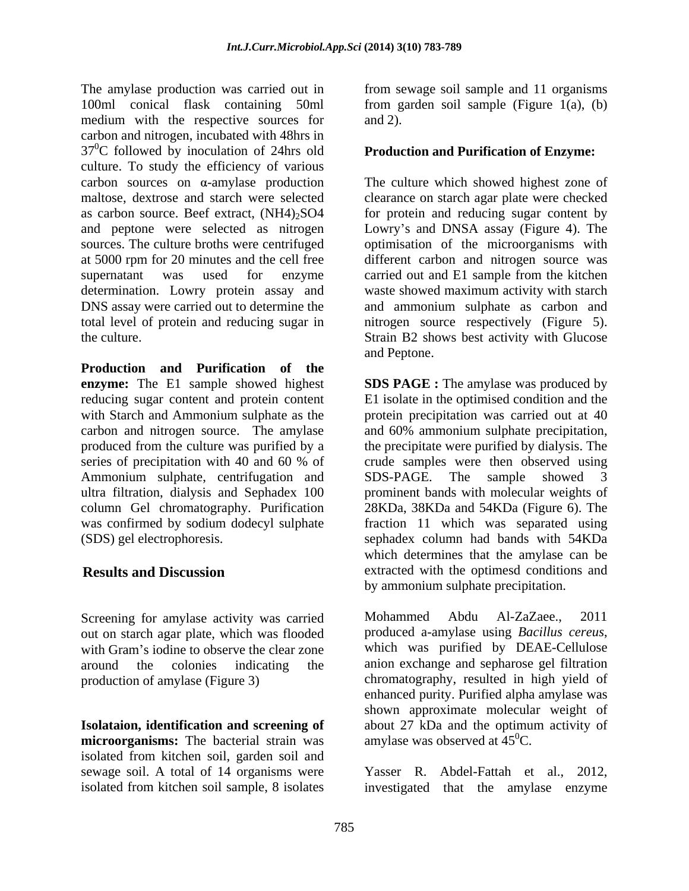The amylase production was carried out in from sewage soil sample and 11 organisms 100ml conical flask containing 50ml from garden soil sample (Figure 1(a), (b) medium with the respective sources for and 2). carbon and nitrogen, incubated with 48hrs in  $37^{\circ}$ C followed by inoculation of 24hrs old culture. To study the efficiency of various  $carbon$  sources on  $\alpha$ -amylase production The culture which showed highest zone of maltose, dextrose and starch were selected clearance on starch agar plate were checked as carbon source. Beef extract,  $(NH4)_2SO4$  for protein and reducing sugar content by and peptone were selected as nitrogen Lowry's and DNSA assay (Figure 4). The sources. The culture broths were centrifuged optimisation of the microorganisms with at 5000 rpm for 20 minutes and the cell free different carbon and nitrogen source was supernatant was used for enzyme carried out and E1 sample from the kitchen determination. Lowry protein assay and DNS assay were carried out to determine the and ammonium sulphate as carbon and total level of protein and reducing sugar in nitrogen source respectively (Figure 5).

**Production and Purification of the** carbon and nitrogen source. The amylase series of precipitation with 40 and 60 % of Ammonium sulphate, centrifugation and SDS-PAGE. The sample showed 3

Screening for amylase activity was carried<br>
Mohammed Abdu Al-ZaZaee., 2011<br>
out on starch agar plate which was flooded<br>
produced a-amylase using *Bacillus cereus*, out on starch agar plate, which was flooded with Gram's iodine to observe the clear zone which was purified by DEAE-Cellulose

**microorganisms:** The bacterial strain was isolated from kitchen soil, garden soil and sewage soil. A total of 14 organisms were Yasser R. Abdel-Fattah et al., 2012, isolated from kitchen soil sample, 8 isolates investigated that the amylase enzyme

and 2).

### **Production and Purification of Enzyme:**

the culture. Strain B2 shows best activity with Glucose waste showed maximum activity with starch and Peptone.

**enzyme:** The E1 sample showed highest **SDS PAGE :** The amylase was produced by reducing sugar content and protein content E1 isolate in the optimised condition and the with Starch and Ammonium sulphate as the protein precipitation was carried out at 40 produced from the culture was purified by a the precipitate were purified by dialysis. The ultra filtration, dialysis and Sephadex 100 prominent bands with molecular weights of column Gel chromatography. Purification 28KDa, 38KDa and 54KDa (Figure 6). The was confirmed by sodium dodecyl sulphate fraction 11 which was separated using (SDS) gel electrophoresis. sephadex column had bands with 54KDa **Results and Discussion** extracted with the optimesd conditions and and 60% ammonium sulphate precipitation, crude samples were then observed using SDS-PAGE. The sample showed 3 which determines that the amylase can be by ammonium sulphate precipitation.

around the colonies indicating the anion exchange and sepharose gel filtration production of amylase (Figure 3) chromatography, resulted in high yield of **Isolataion, identification and screening of**  about 27 kDa and the optimum activity of Mohammed Abdu Al-ZaZaee., 2011 produced a-amylase using *Bacillus cereus*, which was purified by DEAE-Cellulose enhanced purity. Purified alpha amylase was shown approximate molecular weight of amylase was observed at  $45^{\circ}$ C.

> investigated that the amylase enzyme Yasser R. Abdel-Fattah et al., 2012, investigated that the amylase enzyme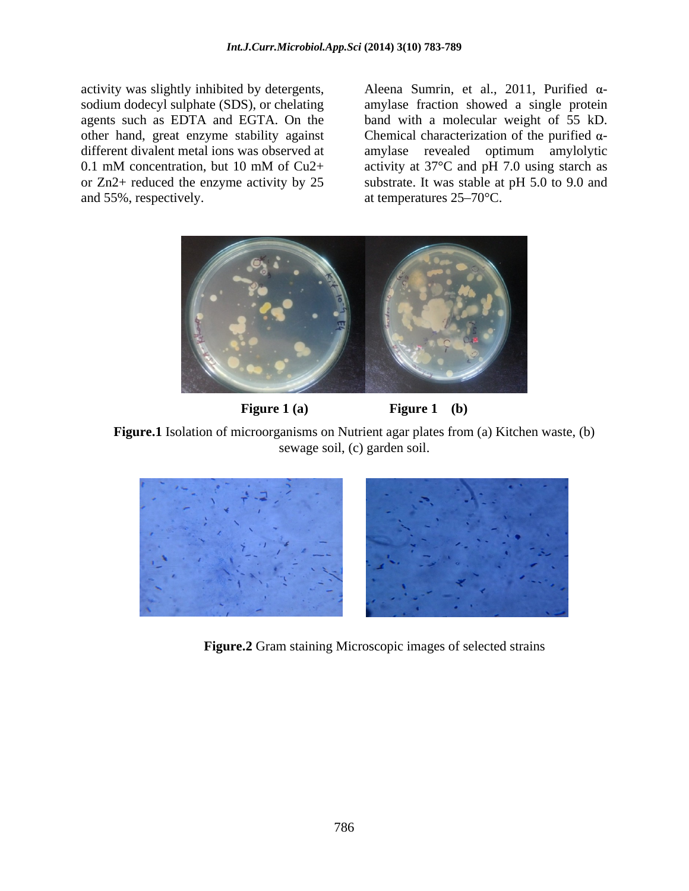and 55%, respectively.  $\alpha$  at temperatures 25–70°C.

activity was slightly inhibited by detergents,  $\qquad$  Aleena Sumrin, et al., 2011, Purified  $\alpha$ sodium dodecyl sulphate (SDS), or chelating amylase fraction showed a single protein agents such as EDTA and EGTA. On the band with a molecular weight of 55 kD. other hand, great enzyme stability against Chemical characterization of the purified  $\alpha$ different divalent metal ions was observed at amylase revealed optimum amylolytic 0.1 mM concentration, but 10 mM of Cu2+ activity at 37°C and pH 7.0 using starch as or Zn2+ reduced the enzyme activity by 25 substrate. It was stable at pH 5.0 to 9.0 and



**Figure 1 (a) Figure 1 (b) Figure 1 (d)** 

**Figure.1** Isolation of microorganisms on Nutrient agar plates from (a) Kitchen waste, (b) sewage soil, (c) garden soil.



**Figure.2** Gram staining Microscopic images of selected strains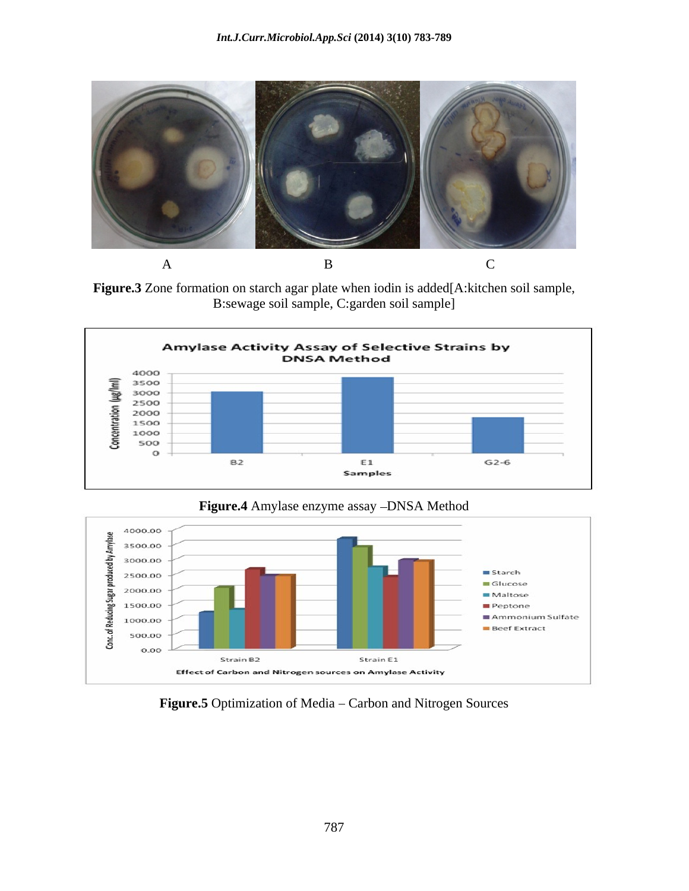

**Figure.3** Zone formation on starch agar plate when iodin is added[A:kitchen soil sample, B:sewage soil sample, C:garden soil sample]





Figure.5 Optimization of Media - Carbon and Nitrogen Sources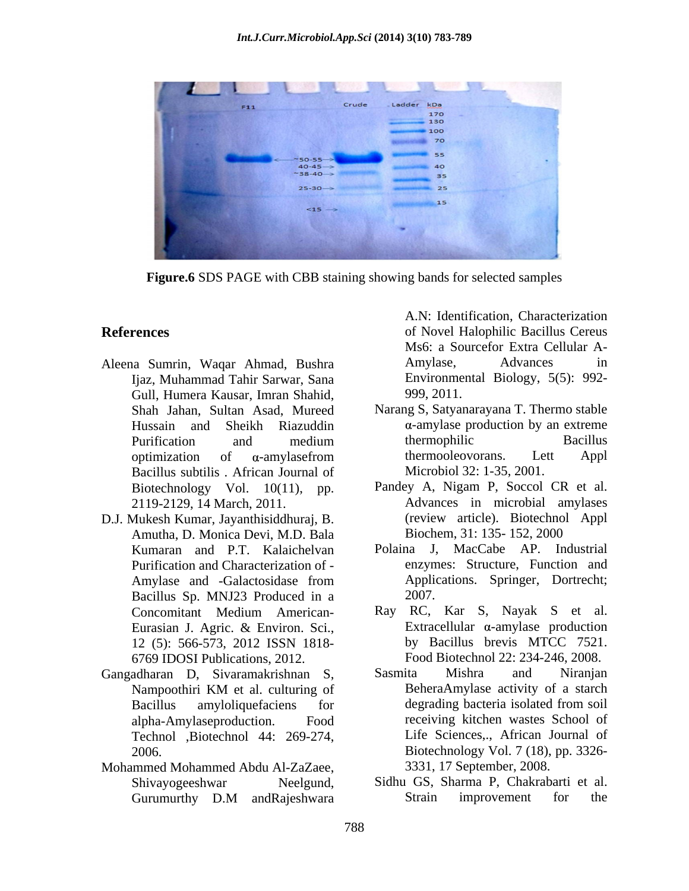

**Figure.6** SDS PAGE with CBB staining showing bands for selected samples

- Aleena Sumrin, Waqar Ahmad, Bushra Ijaz, Muhammad Tahir Sarwar, Sana Gull, Humera Kausar, Imran Shahid, 999, 2011.<br>Shah Jahan. Sultan Asad. Mureed Narang S, Satyanarayana T. Thermo stable Shah Jahan, Sultan Asad, Mureed Bacillus subtilis . African Journal of
- D.J. Mukesh Kumar, Jayanthisiddhuraj, B. Amutha, D. Monica Devi, M.D. Bala Purification and Characterization of - Bacillus Sp. MNJ23 Produced in a
- Technol ,Biotechnol 44: 269-274,
- Mohammed Mohammed Abdu Al-ZaZaee,

**References** of Novel Halophilic Bacillus Cereus A.N: Identification, Characterization Ms6: a Sourcefor Extra Cellular A- Amylase, Advances in Environmental Biology, 5(5): 992- 999, 2011.

- Hussain and Sheikh Riazuddin  $\alpha$ -amylase production by an extreme Purification and medium thermophilic Bacillus optimization of  $\alpha$ -amylasefrom thermooleovorans. Lett Appl Narang S, Satyanarayana T. Thermo stable  $\alpha$ -amylase production by an extreme thermophilic Bacillus thermooleovorans. Lett Appl Microbiol 32: 1-35, 2001.
- Biotechnology Vol. 10(11), pp. Pandey A, Nigam P, Soccol CR et al. 2119-2129, 14 March, 2011. Pandey A, Nigam P, Soccol CR et al.<br>Advances in microbial amylases (review article). Biotechnol Appl Biochem, 31: 135- 152, 2000
- Kumaran and P.T. Kalaichelvan Polaina J, MacCabe AP. Industrial Amylase and -Galactosidase from Applications. Springer, Dortrecht; enzymes: Structure, Function and Applications. Springer, Dortrecht; 2007.
- Concomitant Medium American- Eurasian J. Agric. & Environ. Sci., 12 (5): 566-573, 2012 ISSN 1818- 6769 IDOSI Publications, 2012. Food Biotechnol 22: 234-246, 2008. Ray RC, Kar S, Nayak S et al. Extracellular  $\alpha$ -amylase production by Bacillus brevis MTCC 7521.
- Gangadharan D, Sivaramakrishnan S, Nampoothiri KM et al. culturing of Bacillus amyloliquefaciens for degrading bacteria isolated from soil alpha-Amylaseproduction. Food receiving kitchen wastes School of 2006. Biotechnology Vol. 7 (18), pp. 3326- Sasmita Mishra and Niranjan BeheraAmylase activity of a starch degrading bacteria isolated from soil Life Sciences,., African Journal of 3331, 17 September, 2008.
	- Shivayogeeshwar Neelgund, Sidhu GS, Sharma P, Chakrabarti et al. Gurumurthy D.M andRajeshwara Strain improvement for the